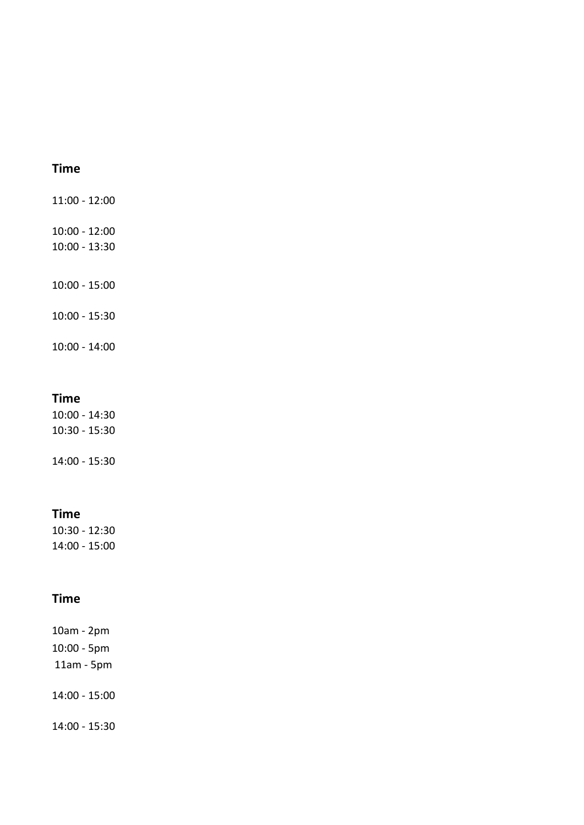## **Time**

11:00 - 12:00

10:00 - 12:00

10:00 - 13:30

10:00 - 15:00

10:00 - 15:30

10:00 - 14:00

### **Time**

10:00 - 14:30 10:30 - 15:30

14:00 - 15:30

### **Time**

10:30 - 12:30 14:00 - 15:00

## **Time**

10am - 2pm 10:00 - 5pm 11am - 5pm

14:00 - 15:00

14:00 - 15:30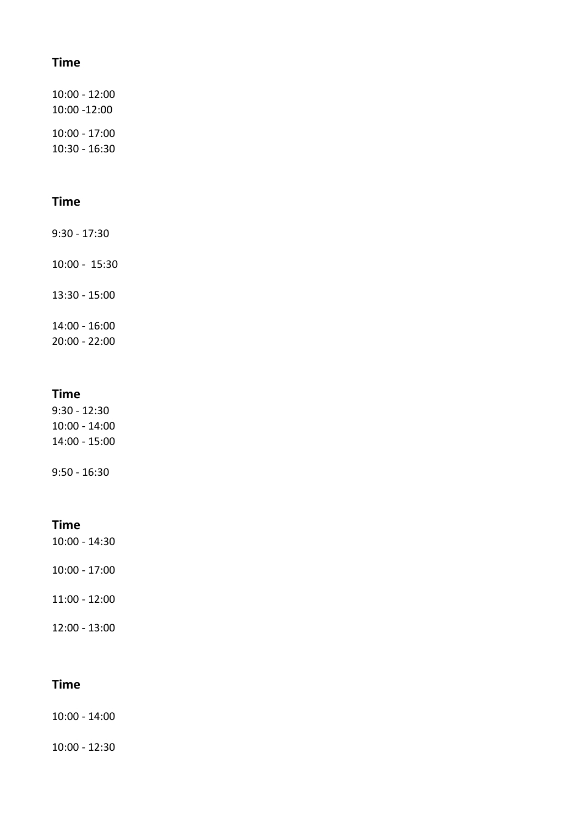### **Time**

10:00 - 12:00 10:00 -12:00 10:00 - 17:00 10:30 - 16:30

### **Time**

9:30 - 17:30

10:00 - 15:30

13:30 - 15:00

14:00 - 16:00

20:00 - 22:00

#### **Time**

9:30 - 12:30 10:00 - 14:00 14:00 - 15:00

9:50 - 16:30

#### **Time**

10:00 - 14:30

10:00 - 17:00

11:00 - 12:00

12:00 - 13:00

### **Time**

10:00 - 14:00

10:00 - 12:30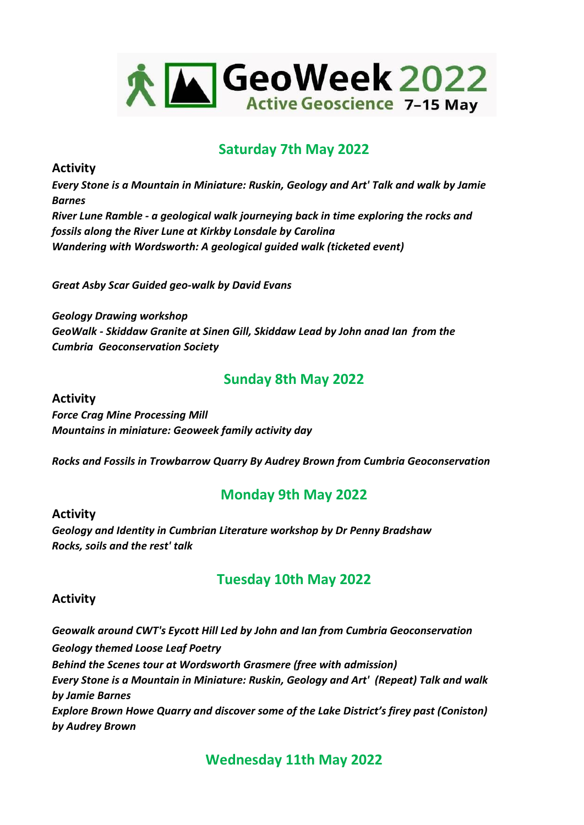

# **Saturday 7th May 2022**

**Activity**

*Every Stone is a Mountain in Miniature: Ruskin, Geology and Art' Talk and walk by Jamie Barnes River Lune Ramble - a geological walk journeying back in time exploring the rocks and fossils along the River Lune at Kirkby Lonsdale by Carolina Wandering with Wordsworth: A geological guided walk (ticketed event)*

*Great Asby Scar Guided geo-walk by David Evans*

*Geology Drawing workshop GeoWalk - Skiddaw Granite at Sinen Gill, Skiddaw Lead by John anad Ian from the Cumbria Geoconservation Society*

# **Sunday 8th May 2022**

**Activity** *Force Crag Mine Processing Mill Mountains in miniature: Geoweek family activity day*

*Rocks and Fossils in Trowbarrow Quarry By Audrey Brown from Cumbria Geoconservation*

# **Monday 9th May 2022**

**Activity** *Geology and Identity in Cumbrian Literature workshop by Dr Penny Bradshaw Rocks, soils and the rest' talk*

# **Tuesday 10th May 2022**

### **Activity**

*Geowalk around CWT's Eycott Hill Led by John and Ian from Cumbria Geoconservation Geology themed Loose Leaf Poetry Behind the Scenes tour at Wordsworth Grasmere (free with admission) Every Stone is a Mountain in Miniature: Ruskin, Geology and Art' (Repeat) Talk and walk by Jamie Barnes Explore Brown Howe Quarry and discover some of the Lake District's firey past (Coniston) by Audrey Brown*

**Wednesday 11th May 2022**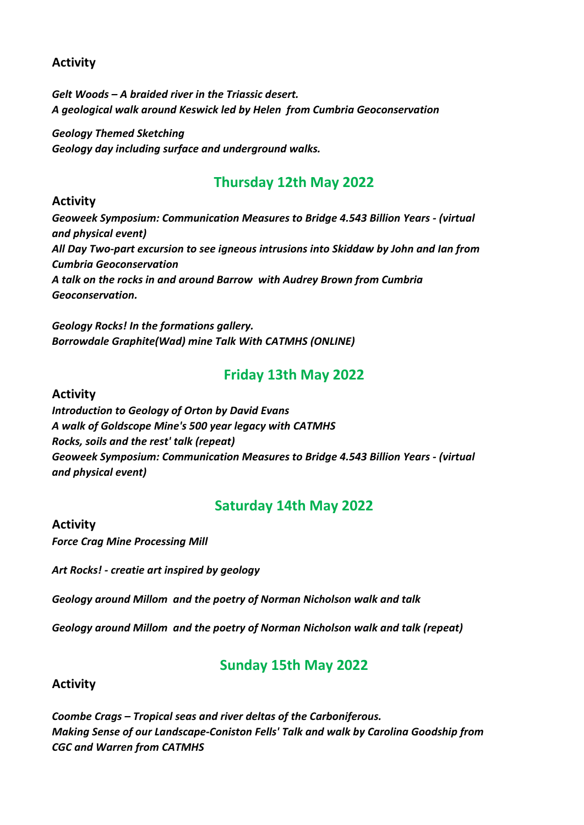### **Activity**

*Gelt Woods – A braided river in the Triassic desert. A geological walk around Keswick led by Helen from Cumbria Geoconservation* 

*Geology Themed Sketching Geology day including surface and underground walks.* 

# **Thursday 12th May 2022**

### **Activity**

*Geoweek Symposium: Communication Measures to Bridge 4.543 Billion Years - (virtual and physical event) All Day Two-part excursion to see igneous intrusions into Skiddaw by John and Ian from Cumbria Geoconservation A talk on the rocks in and around Barrow with Audrey Brown from Cumbria Geoconservation.*

*Geology Rocks! In the formations gallery. Borrowdale Graphite(Wad) mine Talk With CATMHS (ONLINE)*

# **Friday 13th May 2022**

### **Activity**

*Introduction to Geology of Orton by David Evans A walk of Goldscope Mine's 500 year legacy with CATMHS Rocks, soils and the rest' talk (repeat) Geoweek Symposium: Communication Measures to Bridge 4.543 Billion Years - (virtual and physical event)*

# **Saturday 14th May 2022**

### **Activity**

*Force Crag Mine Processing Mill* 

*Art Rocks! - creatie art inspired by geology*

*Geology around Millom and the poetry of Norman Nicholson walk and talk*

*Geology around Millom and the poetry of Norman Nicholson walk and talk (repeat)*

# **Sunday 15th May 2022**

**Activity**

*Coombe Crags – Tropical seas and river deltas of the Carboniferous. Making Sense of our Landscape-Coniston Fells' Talk and walk by Carolina Goodship from CGC and Warren from CATMHS*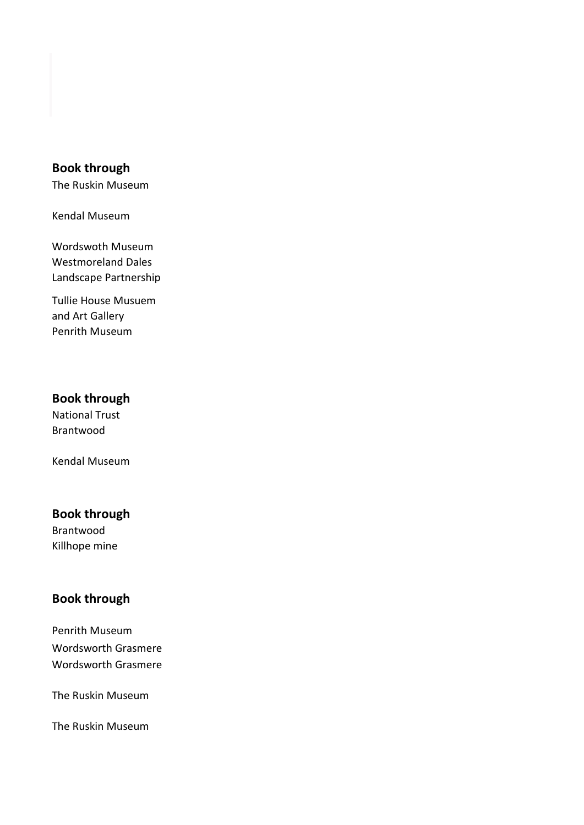### **Book through**

The Ruskin Museum

Kendal Museum

Wordswoth Museum Westmoreland Dales Landscape Partnership

Tullie House Musuem and Art Gallery Penrith Museum

### **Book through**

National Trust Brantwood

Kendal Museum

### **Book through**

Brantwood Killhope mine

### **Book through**

Penrith Museum Wordsworth Grasmere Wordsworth Grasmere

The Ruskin Museum

The Ruskin Museum